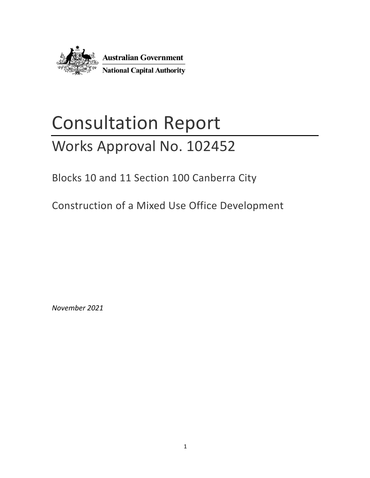

# Consultation Report Works Approval No. 102452

Blocks 10 and 11 Section 100 Canberra City

Construction of a Mixed Use Office Development

*November 2021*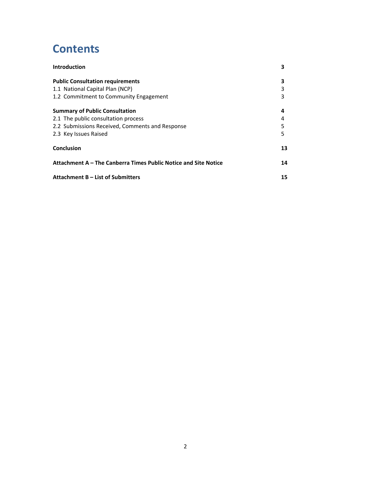# **Contents**

| <b>Introduction</b>                                             | 3  |
|-----------------------------------------------------------------|----|
| <b>Public Consultation requirements</b>                         | з  |
| 1.1 National Capital Plan (NCP)                                 | 3  |
| 1.2 Commitment to Community Engagement                          | 3  |
| <b>Summary of Public Consultation</b>                           | 4  |
| 2.1 The public consultation process                             | 4  |
| 2.2 Submissions Received, Comments and Response                 | 5  |
| 2.3 Key Issues Raised                                           | 5  |
| <b>Conclusion</b>                                               | 13 |
| Attachment A - The Canberra Times Public Notice and Site Notice | 14 |
| Attachment B - List of Submitters                               | 15 |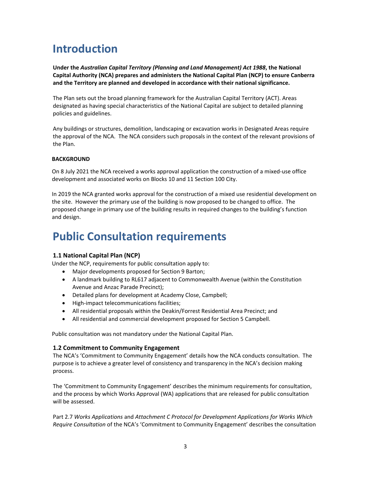# **Introduction**

**Under the** *Australian Capital Territory (Planning and Land Management) Act 1988***, the National Capital Authority (NCA) prepares and administers the National Capital Plan (NCP) to ensure Canberra and the Territory are planned and developed in accordance with their national significance.**

The Plan sets out the broad planning framework for the Australian Capital Territory (ACT). Areas designated as having special characteristics of the National Capital are subject to detailed planning policies and guidelines.

Any buildings or structures, demolition, landscaping or excavation works in Designated Areas require the approval of the NCA. The NCA considers such proposals in the context of the relevant provisions of the Plan.

#### **BACKGROUND**

On 8 July 2021 the NCA received a works approval application the construction of a mixed‐use office development and associated works on Blocks 10 and 11 Section 100 City.

In 2019 the NCA granted works approval for the construction of a mixed use residential development on the site. However the primary use of the building is now proposed to be changed to office. The proposed change in primary use of the building results in required changes to the building's function and design.

# **Public Consultation requirements**

### **1.1 National Capital Plan (NCP)**

Under the NCP, requirements for public consultation apply to:

- Major developments proposed for Section 9 Barton;
- A landmark building to RL617 adjacent to Commonwealth Avenue (within the Constitution Avenue and Anzac Parade Precinct);
- Detailed plans for development at Academy Close, Campbell;
- High-impact telecommunications facilities;
- All residential proposals within the Deakin/Forrest Residential Area Precinct; and
- All residential and commercial development proposed for Section 5 Campbell.

Public consultation was not mandatory under the National Capital Plan.

#### **1.2 Commitment to Community Engagement**

The NCA's 'Commitment to Community Engagement' details how the NCA conducts consultation. The purpose is to achieve a greater level of consistency and transparency in the NCA's decision making process.

The 'Commitment to Community Engagement' describes the minimum requirements for consultation, and the process by which Works Approval (WA) applications that are released for public consultation will be assessed.

Part 2.7 *Works Applications* and *Attachment C Protocol for Development Applications for Works Which Require Consultation* of the NCA's 'Commitment to Community Engagement' describes the consultation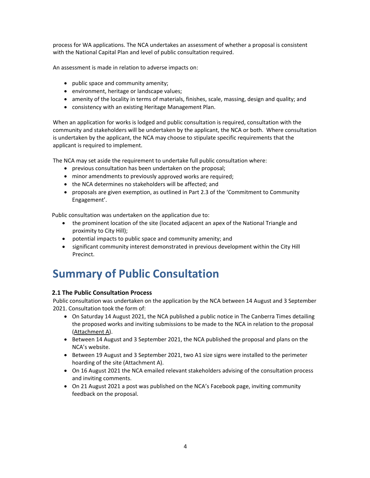process for WA applications. The NCA undertakes an assessment of whether a proposal is consistent with the National Capital Plan and level of public consultation required.

An assessment is made in relation to adverse impacts on:

- public space and community amenity;
- environment, heritage or landscape values;
- amenity of the locality in terms of materials, finishes, scale, massing, design and quality; and
- consistency with an existing Heritage Management Plan.

When an application for works is lodged and public consultation is required, consultation with the community and stakeholders will be undertaken by the applicant, the NCA or both. Where consultation is undertaken by the applicant, the NCA may choose to stipulate specific requirements that the applicant is required to implement.

The NCA may set aside the requirement to undertake full public consultation where:

- previous consultation has been undertaken on the proposal;
- minor amendments to previously approved works are required;
- the NCA determines no stakeholders will be affected; and
- proposals are given exemption, as outlined in Part 2.3 of the 'Commitment to Community Engagement'.

Public consultation was undertaken on the application due to:

- the prominent location of the site (located adjacent an apex of the National Triangle and proximity to City Hill);
- potential impacts to public space and community amenity; and
- significant community interest demonstrated in previous development within the City Hill Precinct.

## **Summary of Public Consultation**

### **2.1 The Public Consultation Process**

Public consultation was undertaken on the application by the NCA between 14 August and 3 September 2021. Consultation took the form of:

- On Saturday 14 August 2021, the NCA published a public notice in The Canberra Times detailing the proposed works and inviting submissions to be made to the NCA in relation to the proposal (Attachment A).
- Between 14 August and 3 September 2021, the NCA published the proposal and plans on the NCA's website.
- **Between 19 August and 3 September 2021, two A1 size signs were installed to the perimeter** hoarding of the site (Attachment A).
- On 16 August 2021 the NCA emailed relevant stakeholders advising of the consultation process and inviting comments.
- On 21 August 2021 a post was published on the NCA's Facebook page, inviting community feedback on the proposal.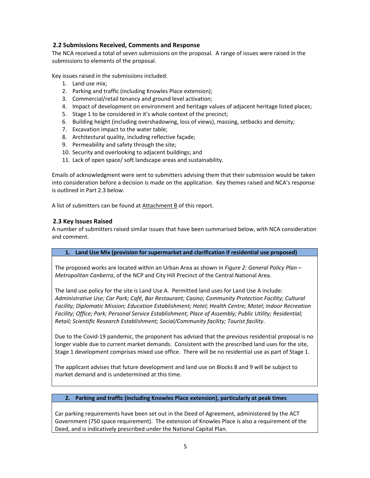### **2.2 Submissions Received, Comments and Response**

The NCA received a total of seven submissions on the proposal. A range of issues were raised in the submissions to elements of the proposal.

Key issues raised in the submissions included:

- 1. Land use mix;
- 2. Parking and traffic (including Knowles Place extension);
- 3. Commercial/retail tenancy and ground level activation;
- 4. Impact of development on environment and heritage values of adjacent heritage listed places;
- 5. Stage 1 to be considered in it's whole context of the precinct;
- 6. Building height (including overshadowing, loss of views), massing, setbacks and density;
- 7. Excavation impact to the water table;
- 8. Architectural quality, including reflective façade;
- 9. Permeability and safety through the site;
- 10. Security and overlooking to adjacent buildings; and
- 11. Lack of open space/ soft landscape areas and sustainability.

Emails of acknowledgment were sent to submitters advising them that their submission would be taken into consideration before a decision is made on the application. Key themes raised and NCA's response is outlined in Part 2.3 below.

A list of submitters can be found at Attachment B of this report.

#### **2.3 Key Issues Raised**

A number of submitters raised similar issues that have been summarised below, with NCA consideration and comment.

### **1. Land Use Mix (provision for supermarket and clarification if residential use proposed)**

The proposed works are located within an Urban Area as shown in *Figure 2: General Policy Plan – Metropolitan Canberra*, of the NCP and City Hill Precinct of the Central National Area.

The land use policy for the site is Land Use A. Permitted land uses for Land Use A include: *Administrative Use; Car Park; Café, Bar Restaurant; Casino; Community Protection Facility; Cultural Facility; Diplomatic Mission; Education Establishment; Hotel; Health Centre; Motel; Indoor Recreation Facility; Office; Park; Personal Service Establishment; Place of Assembly; Public Utility; Residential; Retail; Scientific Research Establishment; Social/Community facility; Tourist facility*.

Due to the Covid-19 pandemic, the proponent has advised that the previous residential proposal is no longer viable due to current market demands. Consistent with the prescribed land uses for the site, Stage 1 development comprises mixed use office. There will be no residential use as part of Stage 1.

The applicant advises that future development and land use on Blocks 8 and 9 will be subject to market demand and is undetermined at this time.

#### **2. Parking and traffic (including Knowles Place extension), particularly at peak times**

Car parking requirements have been set out in the Deed of Agreement, administered by the ACT Government (750 space requirement). The extension of Knowles Place is also a requirement of the Deed, and is indicatively prescribed under the National Capital Plan.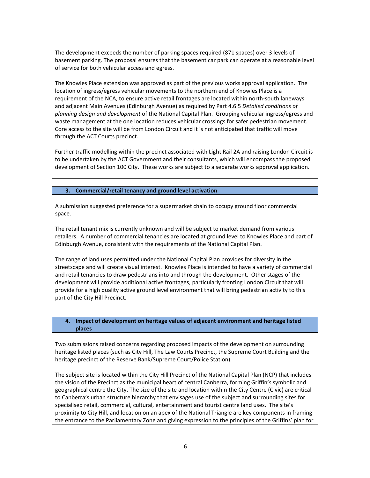The development exceeds the number of parking spaces required (871 spaces) over 3 levels of basement parking. The proposal ensures that the basement car park can operate at a reasonable level of service for both vehicular access and egress.

The Knowles Place extension was approved as part of the previous works approval application. The location of ingress/egress vehicular movements to the northern end of Knowles Place is a requirement of the NCA, to ensure active retail frontages are located within north‐south laneways and adjacent Main Avenues (Edinburgh Avenue) as required by Part 4.6.5 *Detailed conditions of planning design and development* of the National Capital Plan. Grouping vehicular ingress/egress and waste management at the one location reduces vehicular crossings for safer pedestrian movement. Core access to the site will be from London Circuit and it is not anticipated that traffic will move through the ACT Courts precinct.

Further traffic modelling within the precinct associated with Light Rail 2A and raising London Circuit is to be undertaken by the ACT Government and their consultants, which will encompass the proposed development of Section 100 City. These works are subject to a separate works approval application.

#### **3. Commercial/retail tenancy and ground level activation**

A submission suggested preference for a supermarket chain to occupy ground floor commercial space.

The retail tenant mix is currently unknown and will be subject to market demand from various retailers. A number of commercial tenancies are located at ground level to Knowles Place and part of Edinburgh Avenue, consistent with the requirements of the National Capital Plan.

The range of land uses permitted under the National Capital Plan provides for diversity in the streetscape and will create visual interest. Knowles Place is intended to have a variety of commercial and retail tenancies to draw pedestrians into and through the development. Other stages of the development will provide additional active frontages, particularly fronting London Circuit that will provide for a high quality active ground level environment that will bring pedestrian activity to this part of the City Hill Precinct.

#### **4. Impact of development on heritage values of adjacent environment and heritage listed places**

Two submissions raised concerns regarding proposed impacts of the development on surrounding heritage listed places (such as City Hill, The Law Courts Precinct, the Supreme Court Building and the heritage precinct of the Reserve Bank/Supreme Court/Police Station).

The subject site is located within the City Hill Precinct of the National Capital Plan (NCP) that includes the vision of the Precinct as the municipal heart of central Canberra, forming Griffin's symbolic and geographical centre the City. The size of the site and location within the City Centre (Civic) are critical to Canberra's urban structure hierarchy that envisages use of the subject and surrounding sites for specialised retail, commercial, cultural, entertainment and tourist centre land uses. The site's proximity to City Hill, and location on an apex of the National Triangle are key components in framing the entrance to the Parliamentary Zone and giving expression to the principles of the Griffins' plan for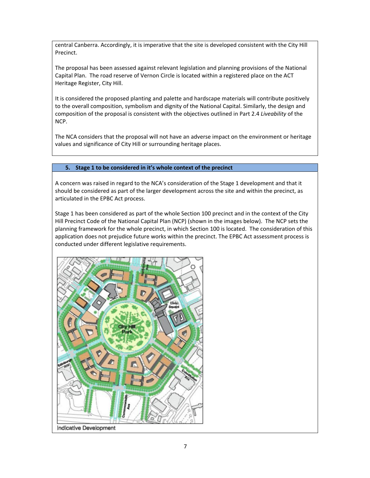central Canberra. Accordingly, it is imperative that the site is developed consistent with the City Hill Precinct.

The proposal has been assessed against relevant legislation and planning provisions of the National Capital Plan. The road reserve of Vernon Circle is located within a registered place on the ACT Heritage Register, City Hill.

It is considered the proposed planting and palette and hardscape materials will contribute positively to the overall composition, symbolism and dignity of the National Capital. Similarly, the design and composition of the proposal is consistent with the objectives outlined in Part 2.4 *Liveability* of the NCP.

The NCA considers that the proposal will not have an adverse impact on the environment or heritage values and significance of City Hill or surrounding heritage places.

### **5. Stage 1 to be considered in it's whole context of the precinct**

A concern was raised in regard to the NCA's consideration of the Stage 1 development and that it should be considered as part of the larger development across the site and within the precinct, as articulated in the EPBC Act process.

Stage 1 has been considered as part of the whole Section 100 precinct and in the context of the City Hill Precinct Code of the National Capital Plan (NCP) (shown in the images below). The NCP sets the planning framework for the whole precinct, in which Section 100 is located. The consideration of this application does not prejudice future works within the precinct. The EPBC Act assessment process is conducted under different legislative requirements.

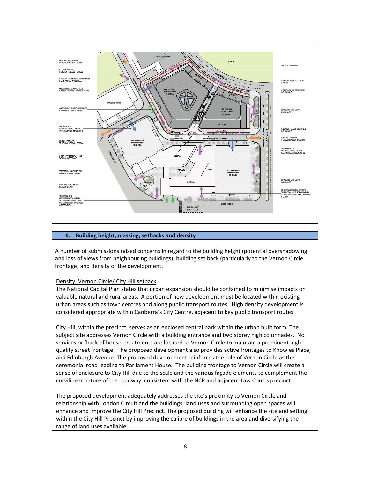

#### **6. Building height, massing, setbacks and density**

A number of submissions raised concerns in regard to the building height (potential overshadowing and loss of views from neighbouring buildings), building set back (particularly to the Vernon Circle frontage) and density of the development.

#### Density, Vernon Circle/ City Hill setback

The National Capital Plan states that urban expansion should be contained to minimise impacts on valuable natural and rural areas. A portion of new development must be located within existing urban areas such as town centres and along public transport routes. High density development is considered appropriate within Canberra's City Centre, adjacent to key public transport routes.

City Hill, within the precinct, serves as an enclosed central park within the urban built form. The subject site addresses Vernon Circle with a building entrance and two storey high colonnades. No services or 'back of house' treatments are located to Vernon Circle to maintain a prominent high quality street frontage. The proposed development also provides active frontages to Knowles Place, and Edinburgh Avenue. The proposed development reinforces the role of Vernon Circle as the ceremonial road leading to Parliament House. The building frontage to Vernon Circle will create a sense of enclosure to City Hill due to the scale and the various façade elements to complement the curvilinear nature of the roadway, consistent with the NCP and adjacent Law Courts precinct.

The proposed development adequately addresses the site's proximity to Vernon Circle and relationship with London Circuit and the buildings, land uses and surrounding open spaces will enhance and improve the City Hill Precinct. The proposed building will enhance the site and setting within the City Hill Precinct by improving the calibre of buildings in the area and diversifying the range of land uses available.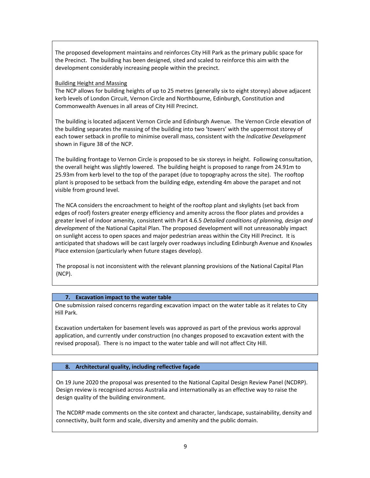The proposed development maintains and reinforces City Hill Park as the primary public space for the Precinct. The building has been designed, sited and scaled to reinforce this aim with the development considerably increasing people within the precinct.

#### Building Height and Massing

The NCP allows for building heights of up to 25 metres (generally six to eight storeys) above adjacent kerb levels of London Circuit, Vernon Circle and Northbourne, Edinburgh, Constitution and Commonwealth Avenues in all areas of City Hill Precinct.

The building is located adjacent Vernon Circle and Edinburgh Avenue. The Vernon Circle elevation of the building separates the massing of the building into two 'towers' with the uppermost storey of each tower setback in profile to minimise overall mass, consistent with the *Indicative Development* shown in Figure 38 of the NCP.

The building frontage to Vernon Circle is proposed to be six storeys in height. Following consultation, the overall height was slightly lowered. The building height is proposed to range from 24.91m to 25.93m from kerb level to the top of the parapet (due to topography across the site). The rooftop plant is proposed to be setback from the building edge, extending 4m above the parapet and not visible from ground level.

The NCA considers the encroachment to height of the rooftop plant and skylights (set back from edges of roof) fosters greater energy efficiency and amenity across the floor plates and provides a greater level of indoor amenity, consistent with Part 4.6.5 *Detailed conditions of planning, design and development* of the National Capital Plan. The proposed development will not unreasonably impact on sunlight access to open spaces and major pedestrian areas within the City Hill Precinct. It is anticipated that shadows will be cast largely over roadways including Edinburgh Avenue and Knowles Place extension (particularly when future stages develop).

The proposal is not inconsistent with the relevant planning provisions of the National Capital Plan (NCP).

### **7. Excavation impact to the water table**

One submission raised concerns regarding excavation impact on the water table as it relates to City Hill Park.

Excavation undertaken for basement levels was approved as part of the previous works approval application, and currently under construction (no changes proposed to excavation extent with the revised proposal). There is no impact to the water table and will not affect City Hill.

#### **8. Architectural quality, including reflective façade**

On 19 June 2020 the proposal was presented to the National Capital Design Review Panel (NCDRP). Design review is recognised across Australia and internationally as an effective way to raise the design quality of the building environment.

The NCDRP made comments on the site context and character, landscape, sustainability, density and connectivity, built form and scale, diversity and amenity and the public domain.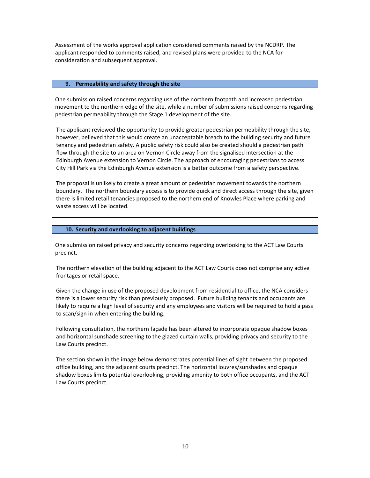Assessment of the works approval application considered comments raised by the NCDRP. The applicant responded to comments raised, and revised plans were provided to the NCA for consideration and subsequent approval.

#### **9. Permeability and safety through the site**

One submission raised concerns regarding use of the northern footpath and increased pedestrian movement to the northern edge of the site, while a number of submissions raised concerns regarding pedestrian permeability through the Stage 1 development of the site.

The applicant reviewed the opportunity to provide greater pedestrian permeability through the site, however, believed that this would create an unacceptable breach to the building security and future tenancy and pedestrian safety. A public safety risk could also be created should a pedestrian path flow through the site to an area on Vernon Circle away from the signalised intersection at the Edinburgh Avenue extension to Vernon Circle. The approach of encouraging pedestrians to access City Hill Park via the Edinburgh Avenue extension is a better outcome from a safety perspective.

The proposal is unlikely to create a great amount of pedestrian movement towards the northern boundary. The northern boundary access is to provide quick and direct access through the site, given there is limited retail tenancies proposed to the northern end of Knowles Place where parking and waste access will be located.

#### **10. Security and overlooking to adjacent buildings**

One submission raised privacy and security concerns regarding overlooking to the ACT Law Courts precinct.

The northern elevation of the building adjacent to the ACT Law Courts does not comprise any active frontages or retail space.

Given the change in use of the proposed development from residential to office, the NCA considers there is a lower security risk than previously proposed. Future building tenants and occupants are likely to require a high level of security and any employees and visitors will be required to hold a pass to scan/sign in when entering the building.

Following consultation, the northern façade has been altered to incorporate opaque shadow boxes and horizontal sunshade screening to the glazed curtain walls, providing privacy and security to the Law Courts precinct.

The section shown in the image below demonstrates potential lines of sight between the proposed office building, and the adjacent courts precinct. The horizontal louvres/sunshades and opaque shadow boxes limits potential overlooking, providing amenity to both office occupants, and the ACT Law Courts precinct.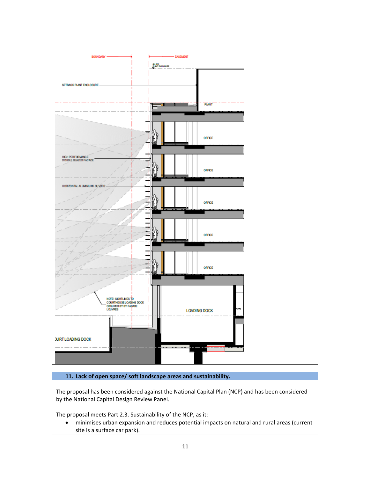

### **11. Lack of open space/ soft landscape areas and sustainability.**

The proposal has been considered against the National Capital Plan (NCP) and has been considered by the National Capital Design Review Panel.

The proposal meets Part 2.3. Sustainability of the NCP, as it:

 minimises urban expansion and reduces potential impacts on natural and rural areas (current site is a surface car park).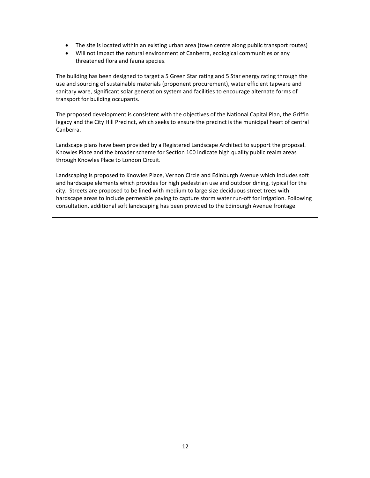- The site is located within an existing urban area (town centre along public transport routes)
- Will not impact the natural environment of Canberra, ecological communities or any threatened flora and fauna species.

The building has been designed to target a 5 Green Star rating and 5 Star energy rating through the use and sourcing of sustainable materials (proponent procurement), water efficient tapware and sanitary ware, significant solar generation system and facilities to encourage alternate forms of transport for building occupants.

The proposed development is consistent with the objectives of the National Capital Plan, the Griffin legacy and the City Hill Precinct, which seeks to ensure the precinct is the municipal heart of central Canberra.

Landscape plans have been provided by a Registered Landscape Architect to support the proposal. Knowles Place and the broader scheme for Section 100 indicate high quality public realm areas through Knowles Place to London Circuit.

Landscaping is proposed to Knowles Place, Vernon Circle and Edinburgh Avenue which includes soft and hardscape elements which provides for high pedestrian use and outdoor dining, typical for the city. Streets are proposed to be lined with medium to large size deciduous street trees with hardscape areas to include permeable paving to capture storm water run‐off for irrigation. Following consultation, additional soft landscaping has been provided to the Edinburgh Avenue frontage.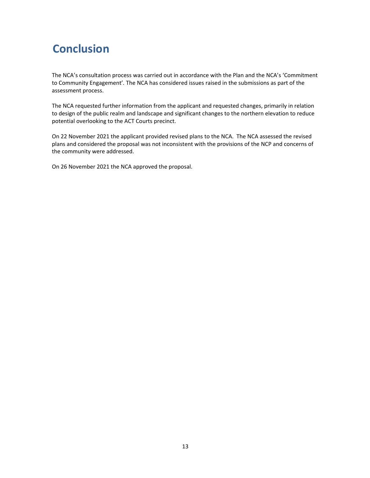# **Conclusion**

The NCA's consultation process was carried out in accordance with the Plan and the NCA's 'Commitment to Community Engagement'*.* The NCA has considered issues raised in the submissions as part of the assessment process.

The NCA requested further information from the applicant and requested changes, primarily in relation to design of the public realm and landscape and significant changes to the northern elevation to reduce potential overlooking to the ACT Courts precinct.

On 22 November 2021 the applicant provided revised plans to the NCA. The NCA assessed the revised plans and considered the proposal was not inconsistent with the provisions of the NCP and concerns of the community were addressed.

On 26 November 2021 the NCA approved the proposal.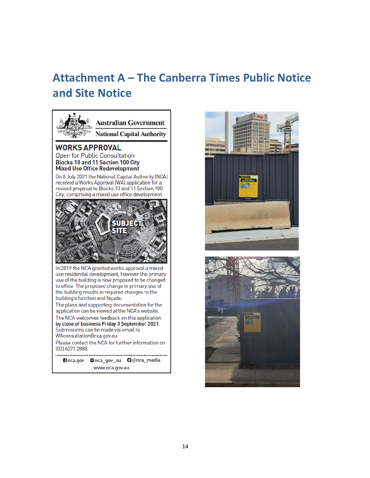# **Attachment A – The Canberra Times Public Notice and Site Notice**



www.nca.gov.au